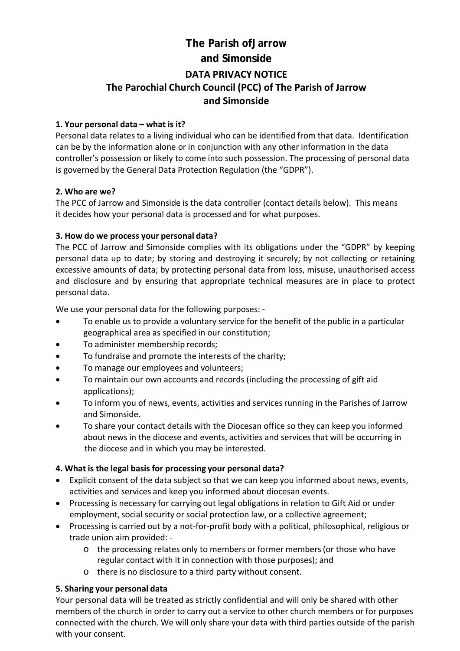# **The Parish ofJarrow and Simonside DATA PRIVACY NOTICE The Parochial Church Council (PCC) of The Parish of Jarrow and Simonside**

#### **1. Your personal data – what is it?**

Personal data relates to a living individual who can be identified from that data. Identification can be by the information alone or in conjunction with any other information in the data controller's possession or likely to come into such possession. The processing of personal data is governed by the General Data Protection Regulation (the "GDPR").

## **2. Who are we?**

The PCC of Jarrow and Simonside is the data controller (contact details below). This means it decides how your personal data is processed and for what purposes.

## **3. How do we process your personal data?**

The PCC of Jarrow and Simonside complies with its obligations under the "GDPR" by keeping personal data up to date; by storing and destroying it securely; by not collecting or retaining excessive amounts of data; by protecting personal data from loss, misuse, unauthorised access and disclosure and by ensuring that appropriate technical measures are in place to protect personal data.

We use your personal data for the following purposes: ‐

- To enable us to provide a voluntary service for the benefit of the public in a particular geographical area as specified in our constitution;
- To administer membership records;
- To fundraise and promote the interests of the charity;
- To manage our employees and volunteers;
- To maintain our own accounts and records (including the processing of gift aid applications);
- To inform you of news, events, activities and servicesrunning in the Parishes of Jarrow and Simonside.
- To share your contact details with the Diocesan office so they can keep you informed about news in the diocese and events, activities and servicesthat will be occurring in the diocese and in which you may be interested.

# **4. What is the legal basis for processing your personal data?**

- Explicit consent of the data subject so that we can keep you informed about news, events, activities and services and keep you informed about diocesan events.
- Processing is necessary for carrying out legal obligations in relation to Gift Aid or under employment, social security or social protection law, or a collective agreement;
- Processing is carried out by a not-for-profit body with a political, philosophical, religious or trade union aim provided: ‐
	- o the processing relates only to members or former members(or those who have regular contact with it in connection with those purposes); and
	- o there is no disclosure to a third party without consent.

#### **5. Sharing your personal data**

Your personal data will be treated as strictly confidential and will only be shared with other members of the church in order to carry out a service to other church members or for purposes connected with the church. We will only share your data with third parties outside of the parish with your consent.